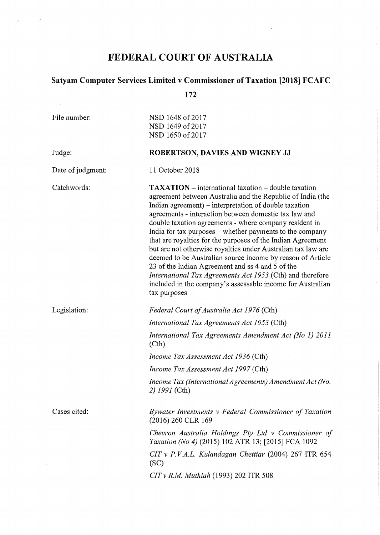# FEDERAL COURT OF AUSTRALIA

 $\mathcal{A}=\mathcal{A}$ 

 $\sim$   $\mu$ 

 $\mathcal{L}^{\text{max}}_{\text{max}}$ 

 $\bar{r}$ 

# Satyam Computer Services Limited v Commissioner of Taxation [2018] FCAFC

172

| File number:      | NSD 1648 of 2017<br>NSD 1649 of 2017<br>NSD 1650 of 2017                                                                                                                                                                                                                                                                                                                                                                                                                                                                                                                                                                                                                                                                                                              |
|-------------------|-----------------------------------------------------------------------------------------------------------------------------------------------------------------------------------------------------------------------------------------------------------------------------------------------------------------------------------------------------------------------------------------------------------------------------------------------------------------------------------------------------------------------------------------------------------------------------------------------------------------------------------------------------------------------------------------------------------------------------------------------------------------------|
| Judge:            | ROBERTSON, DAVIES AND WIGNEY JJ                                                                                                                                                                                                                                                                                                                                                                                                                                                                                                                                                                                                                                                                                                                                       |
| Date of judgment: | 11 October 2018                                                                                                                                                                                                                                                                                                                                                                                                                                                                                                                                                                                                                                                                                                                                                       |
| Catchwords:       | <b>TAXATION</b> – international taxation – double taxation<br>agreement between Australia and the Republic of India (the<br>Indian agreement) $-$ interpretation of double taxation<br>agreements - interaction between domestic tax law and<br>double taxation agreements - where company resident in<br>India for tax purposes - whether payments to the company<br>that are royalties for the purposes of the Indian Agreement<br>but are not otherwise royalties under Australian tax law are<br>deemed to be Australian source income by reason of Article<br>23 of the Indian Agreement and ss 4 and 5 of the<br><i>International Tax Agreements Act 1953</i> (Cth) and therefore<br>included in the company's assessable income for Australian<br>tax purposes |
| Legislation:      | Federal Court of Australia Act 1976 (Cth)                                                                                                                                                                                                                                                                                                                                                                                                                                                                                                                                                                                                                                                                                                                             |
|                   | International Tax Agreements Act 1953 (Cth)                                                                                                                                                                                                                                                                                                                                                                                                                                                                                                                                                                                                                                                                                                                           |
|                   | International Tax Agreements Amendment Act (No 1) 2011<br>(Cth)                                                                                                                                                                                                                                                                                                                                                                                                                                                                                                                                                                                                                                                                                                       |
|                   | Income Tax Assessment Act 1936 (Cth)                                                                                                                                                                                                                                                                                                                                                                                                                                                                                                                                                                                                                                                                                                                                  |
|                   | Income Tax Assessment Act 1997 (Cth)                                                                                                                                                                                                                                                                                                                                                                                                                                                                                                                                                                                                                                                                                                                                  |
|                   | Income Tax (International Agreements) Amendment Act (No.<br>2) 1991 (Cth)                                                                                                                                                                                                                                                                                                                                                                                                                                                                                                                                                                                                                                                                                             |
| Cases cited:      | Bywater Investments v Federal Commissioner of Taxation<br>(2016) 260 CLR 169                                                                                                                                                                                                                                                                                                                                                                                                                                                                                                                                                                                                                                                                                          |
|                   | Chevron Australia Holdings Pty Ltd v Commissioner of<br>Taxation (No 4) (2015) 102 ATR 13; [2015] FCA 1092                                                                                                                                                                                                                                                                                                                                                                                                                                                                                                                                                                                                                                                            |
|                   | CIT v P.V.A.L. Kulandagan Chettiar (2004) 267 ITR 654<br>(SC)                                                                                                                                                                                                                                                                                                                                                                                                                                                                                                                                                                                                                                                                                                         |
|                   | $CITv R.M.$ Muthiah (1993) 202 ITR 508                                                                                                                                                                                                                                                                                                                                                                                                                                                                                                                                                                                                                                                                                                                                |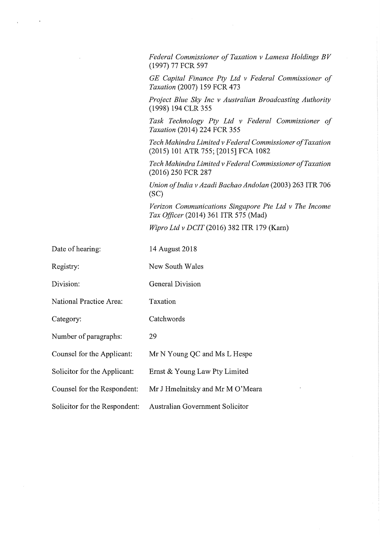*Federal Commissioner of Taxation v Lamesa Holdings BV* (1997) 77 FCR 597

*GE Capital Finance Pty Ltd v Federal Commissioner of Taxation* (2007) 159 FCR 473

*Project Blue Sky Inc v Australian Broadcasting Authority* (1998) 194 CLR 355

*Task Technology Pty Ltd v Federal Commissioner of Taxation* (2014) 224 FCR 355

*Tech Mahindra Limited v Federal Commissioner o f Taxation* (2015) 101 ATR 755; [2015] FCA 1082

*Tech Mahindra Limited v Federal Commissioner o f Taxation* (2016) 250 FCR 287

*Union o f India v Azadi Bachao Andolan* (2003) 263 ITR 706 (SC)

*Verizon Communications Singapore Pte Ltd v The Income Tax Officer* (2014) 361 ITR 575 (Mad)

*Wipro Ltd v DCIT* (2016) 382 ITR 179 (Kam)

Date of hearing: 14 August 2018

Registry: New South Wales

Division: General Division

National Practice Area: Taxation

Category: Catchwords

Number of paragraphs: 29

Counsel for the Applicant: Mr N Young QC and Ms L Hespe

Solicitor for the Applicant: Ernst & Young Law Pty Limited

Counsel for the Respondent: Mr J Hmelnitsky and Mr M O'Meara

Solicitor for the Respondent: Australian Government Solicitor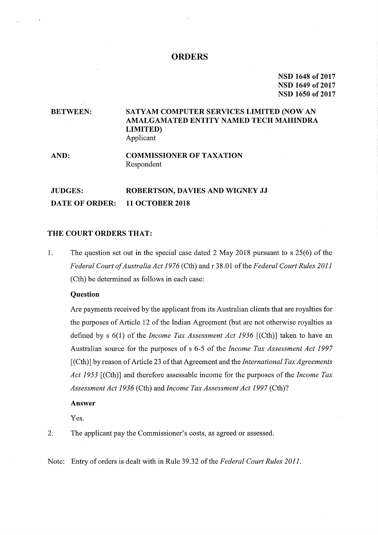#### **ORDERS**

NSD 1648 of 2017 NSD 1649 of 2017 NSD 1650 of 2017

# BETWEEN: SATYAM COMPUTER SERVICES LIMITED (NOW AN AMALGAMATED ENTITY NAMED TECH MAHINDRA LIMITED) Applicant

#### AND: COMMISSIONER OF TAXATION Respondent

# JUDGES: ROBERTSON, DAVIES AND WIGNEY JJ DATE OF ORDER: 11 OCTOBER 2018

### THE COURT ORDERS THAT:

1. The question set out in the special case dated 2 May 2018 pursuant to s 25(6) of the *Federal Court o f Australia Act 1976* (Cth) and r 38.01 o f the *Federal Court Rules 2011* (Cth) be determined as follows in each case:

#### **Question**

Are payments received by the applicant from its Australian clients that are royalties for the purposes of Article 12 of the Indian Agreement (but are not otherwise royalties as defined by s 6(1) of the *Income Tax Assessment Act 1936* [(Cth)] taken to have an Australian source for the purposes of s 6-5 of the *Income Tax Assessment Act 1997* [(Cth)] by reason of Article 23 of that Agreement and the *International Tax Agreements Act* 1953 [(Cth)] and therefore assessable income for the purposes of the *Income Tax Assessment Act 1936* (Cth) and *Income Tax Assessment Act 1997* (Cth)?

#### Answer

Yes.

- 2. The applicant pay the Commissioner's costs, as agreed or assessed.
- Note: Entry of orders is dealt with in Rule 39.32 of the *Federal Court Rules* 2011.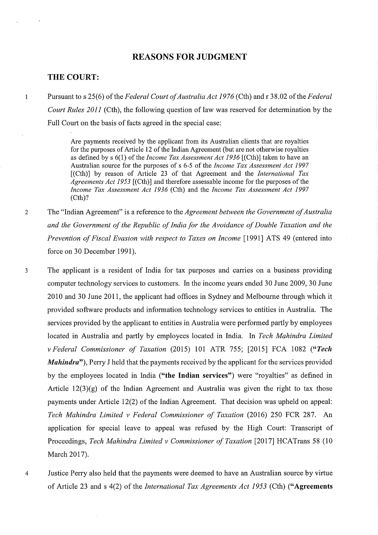## REASONS FOR JUDGMENT

#### THE COURT:

 $\mathbf{1}$ 

Pursuant to s 25(6) of the *Federal Court of Australia Act 1976* (Cth) and r 38.02 of the *Federa Court Rules* 2011 (Cth), the following question of law was reserved for determination by the Full Court on the basis of facts agreed in the special case:

Are payments received by the applicant from its Australian clients that are royalties for the purposes of Article 12 of the Indian Agreement (but are not otherwise royalties as defined by s 6(1) of the *Income Tax Assessment Act 1936* [(Cth)] taken to have an Australian source for the purposes of s 6−5 of the *Income Tax Assessment Act 1997* [(Cth)] by reason of Article 23 of that Agreement and the *International Tax Agreements Act 1953* [(Cth)] and therefore assessable income for the purposes of the *Income Tax Assessment Act 1936* (Cth) and the *Income Tax Assessment Act 1997* (Cth)?

2 The "Indian Agreement" is a reference to the *Agreement between the Government of Australia and* the Government of the Republic of India for the Avoidance of Double Taxation and the *Prevention of Fiscal Evasion with respect to Taxes on Income [1991] ATS 49 (entered into* force on 30 December 1991).

3 The applicant is a resident of India for tax purposes and carries on a business providin computer technology services to customers. In the income years ended 30 June 2009, 30 June 2010 and 30 June 2011, the applicant had offices in Sydney and Melbourne through which it provided software products and information technology services to entities in Australia. The services provided by the applicant to entities in Australia were performed partly by employees located in Australia and partly by employees located in India. In *Tech Mahindra Limited v* Federal Commissioner of Taxation (2015) 101 ATR 755; [2015] FCA 1082 ("Tech *Mahindra*"), Perry J held that the payments received by the applicant for the services provided by the employees located in India ("the Indian services") were "royalties" as defined in Article  $12(3)(g)$  of the Indian Agreement and Australia was given the right to tax those payments under Article 12(2) of the Indian Agreement. That decision was upheld on appeal: *Tech Mahindra Limited v Federal Commissioner of Taxation* (2016) 250 FCR 287. An application for special leave to appeal was refused by the High Court: Transcript of Proceedings, *Tech Mahindra Limited v Commissioner of Taxation* [2017] HCATrans 58 (10 March 2017).

4 Justice Perry also held that the payments were deemed to have an Australian source by virtue of Article 23 and s 4(2) of the *International Tax Agreements Act 1953* (Cth) ("Agreement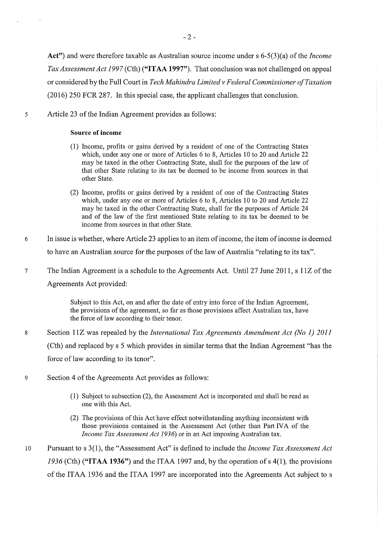Act") and were therefore taxable as Australian source income under s 6-5(3)(a) of the *Incom Tax Assessment Act 1997* (Cth) ("ITAA 1997"). That conclusion was not challenged on appeal or considered by the Full Court in *Tech Mahindra Limited v Federal Commissioner o f Taxation* (2016) 250 FCR 287. In this special case, the applicant challenges that conclusion.

5 Article 23 of the Indian Agreement provides as follows:

### Source of income

- (1) Income, profits or gains derived by a resident of one of the Contracting State which, under any one or more of Articles 6 to 8, Articles 10 to 20 and Article 22 may be taxed in the other Contracting State, shall for the purposes of the law of that other State relating to its tax be deemed to be income from sources in that other State.
- (2) Income, profits or gains derived by a resident of one of the Contracting State which, under any one or more of Articles 6 to 8, Articles 10 to 20 and Article 22 may be taxed in the other Contracting State, shall for the purposes of Article 24 and of the law of the first mentioned State relating to its tax be deemed to be income from sources in that other State.
- 6 In issue is whether, where Article 23 applies to an item of income, the item of income is deemed to have an Australian source for the purposes of the law of Australia "relating to its tax".
- 7 The Indian Agreement is a schedule to the Agreements Act. Until 27 June 2011, s 11Z of the Agreements Act provided:

Subject to this Act, on and after the date of entry into force of the Indian Agreement, the provisions of the agreement, so far as those provisions affect Australian tax, have the force of law according to their tenor.

- 8 Section 11Z was repealed by the *International Tax Agreements Amendment Act (No 1) 2011* (Cth) and replaced by s 5 which provides in similar terms that the Indian Agreement "has the force of law according to its tenor".
- 9 Section 4 of the Agreements Act provides as follows:
	- (1) Subject to subsection (2), the Assessment Act is incorporated and shall be read as one with this Act.
	- (2) The provisions of this Act have effect notwithstanding anything inconsistent with those provisions contained in the Assessment Act (other than Part IVA of the *Income Tax Assessment Act 1936)* or in an Act imposing Australian tax.
- 10 Pursuant to s 3(1), the "Assessment Act" is defined to include the *Income Tax Assessment Act*  $1936$  (Cth) ("ITAA 1936") and the ITAA 1997 and, by the operation of s 4(1), the provision of the ITAA 1936 and the ITAA 1997 are incorporated into the Agreements Act subject to s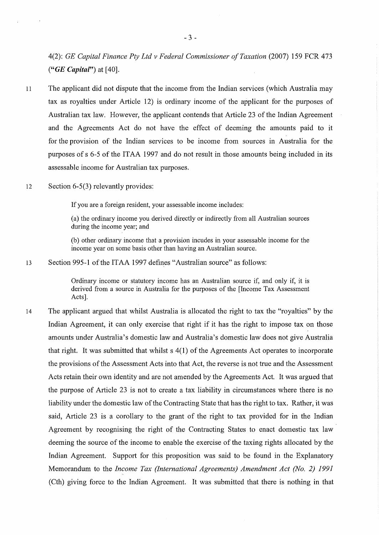4(2): *GE Capital Finance Pty Ltd v Federal Commissioner o f Taxation* (2007) 159 FCR 473 *("GE Capital")* at [40].

- 11 The applicant did not dispute that the income from the Indian services (which Australia may tax as royalties under Article 12) is ordinary income of the applicant for the purposes of Australian tax law. However, the applicant contends that Article 23 of the Indian Agreement and the Agreements Act do not have the effect of deeming the amounts paid to it for the provision of the Indian services to be income from sources in Australia for the purposes of s 6-5 of the ITAA 1997 and do not result in those amounts being included in its assessable income for Australian tax purposes.
- 12 Section 6−5(3) relevantly provides:

If you are a foreign resident, your assessable income includes:

(a) the ordinary income you derived directly or indirectly from all Australian sources during the income year; and

(b) other ordinary income that a provision incudes in your assessable income for the income year on some basis other than having an Australian source.

13 Section 995-1 of the ITAA 1997 defines "Australian source" as follows:

Ordinary income or statutory income has an Australian source if, and only if, it is derived from a source in Australia for the purposes of the [Income Tax Assessment Acts].

14 The applicant argued that whilst Australia is allocated the right to tax the "royalties" by the Indian Agreement, it can only exercise that right if it has the right to impose tax on those amounts under Australia's domestic law and Australia's domestic law does not give Australia that right. It was submitted that whilst  $s(1)$  of the Agreements Act operates to incorporate the provisions of the Assessment Acts into that Act, the reverse is not true and the Assessment Acts retain their own identity and are not amended by the Agreements Act. It was argued that the purpose of Article 23 is not to create a tax liability in circumstances where there is no liability under the domestic law of the Contracting State that has the right to tax. Rather, it was said, Article 23 is a corollary to the grant of the right to tax provided for in the Indian Agreement by recognising the right of the Contracting States to enact domestic tax law deeming the source of the income to enable the exercise of the taxing rights allocated by the Indian Agreement. Support for this proposition was said to be found in the Explanatory Memorandum to the *Income Tax (International Agreements) Amendment Act (No. 2) 1991* (Cth) giving force to the Indian Agreement. It was submitted that there is nothing in that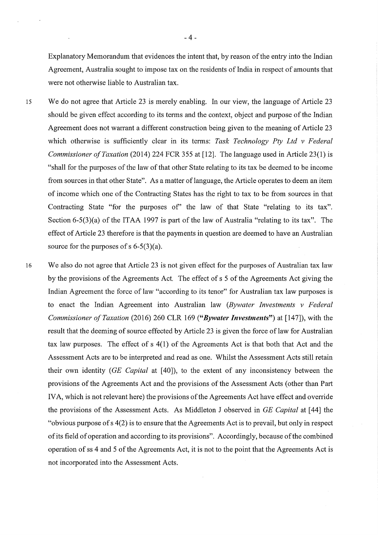Explanatory Memorandum that evidences the intent that, by reason of the entry into the Indian Agreement, Australia sought to impose tax on the residents of India in respect of amounts that were not otherwise liable to Australian tax.

15 We do not agree that Article 23 is merely enabling. In our view, the language of Article 23 should be given effect according to its terms and the context, object and purpose of the Indian Agreement does not warrant a different construction being given to the meaning of Article 23 which otherwise is sufficiently clear in its terms: *Task Technology Ply Ltd v Federal Commissioner of Taxation* (2014) 224 FCR 355 at [12]. The language used in Article 23(1) is "shall for the purposes of the law of that other State relating to its tax be deemed to be income from sources in that other State". As a matter of language, the Article operates to deem an item of income which one of the Contracting States has the right to tax to be from sources in that Contracting State "for the purposes of" the law of that State "relating to its tax". Section 6-5(3)(a) of the ITAA 1997 is part of the law of Australia "relating to its tax". The effect of Article 23 therefore is that the payments in question are deemed to have an Australian source for the purposes of s  $6-5(3)(a)$ .

16 We also do not agree that Article 23 is not given effect for the purposes of Australian tax law by the provisions of the Agreements Act. The effect of s 5 of the Agreements Act giving the Indian Agreement the force of law "according to its tenor" for Australian tax law purposes is to enact the Indian Agreement into Australian law *(Bywater Investments v Federal Commissioner of Taxation* (2016) 260 CLR 169 ("Bywater Investments") at [147]), with the result that the deeming of source effected by Article 23 is given the force of law for Australian tax law purposes. The effect of  $s(1)$  of the Agreements Act is that both that Act and the Assessment Acts are to be interpreted and read as one. Whilst the Assessment Acts still retain their own identity *(GE Capital* at [40]), to the extent of any inconsistency between the provisions of the Agreements Act and the provisions of the Assessment Acts (other than Part IVA, which is not relevant here) the provisions of the Agreements Act have effect and override the provisions of the Assessment Acts. As Middleton J observed in *GE Capital* at [44] the "obvious purpose of  $s(2)$  is to ensure that the Agreements Act is to prevail, but only in respectof its field of operation and according to its provisions". Accordingly, because of the combined operation of ss 4 and 5 of the Agreements Act, it is not to the point that the Agreements Act is not incorporated into the Assessment Acts.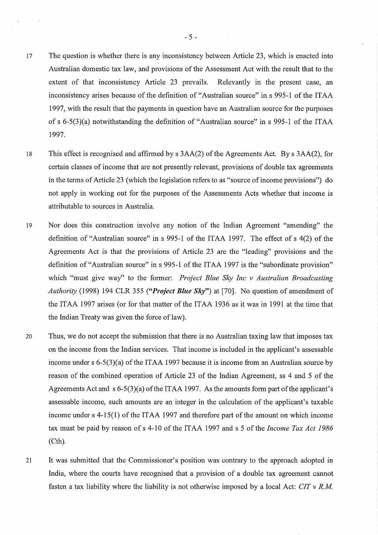- <sup>17</sup> The question is whether there is any inconsistency between Article 23, which is enacted into Australian domestic tax law, and provisions of the Assessment Act with the result that to the extent of that inconsistency Article 23 prevails. Relevantly in the present case, an inconsistency arises because of the definition of "Australian source" in s 995-1 of the ITAA 1997, with the result that the payments in question have an Australian source for the purposes of s 6-5(3)(a) notwithstanding the definition of "Australian source" in s 995-1 of the ITAA 1997.
- 18 This effect is recognised and affirmed by s  $3AA(2)$  of the Agreements Act. By s  $3AA(2)$ , for certain classes of income that are not presently relevant, provisions of double tax agreements in the terms of Article 23 (which the legislation refers to as "source of income provisions") do not apply in working out for the purposes of the Assessments Acts whether that income is attributable to sources in Australia.
- 19 Nor does this construction involve any notion of the Indian Agreement "amending" the definition of "Australian source" in s 995-1 of the ITAA 1997. The effect of s 4(2) of the Agreements Act is that the provisions of Article 23 are the "leading" provisions and the definition of "Australian source" in s 995-1 of the ITAA 1997 is the "subordinate provision" which "must give way" to the former: *Project Blue Sky Inc v Australian Broadcasting Authority* (1998) 194 CLR 355 *("Project Blue Sky"*) at [70]. No question of amendment of the ITAA 1997 arises (or for that matter of the ITAA 1936 as it was in 1991 at the time that the Indian Treaty was given the force of law).
- <sup>20</sup> Thus, we do not accept the submission that there is no Australian taxing law that imposes tax on the income from the Indian services. That income is included in the applicant's assessable income under s  $6-5(3)(a)$  of the ITAA 1997 because it is income from an Australian source by reason of the combined operation of Article 23 of the Indian Agreement, ss 4 and 5 of the Agreements Act and s  $6-5(3)(a)$  of the ITAA 1997. As the amounts form part of the applicant<sup>4</sup> assessable income, such amounts are an integer in the calculation of the applicant's taxable income under s  $4-15(1)$  of the ITAA 1997 and therefore part of the amount on which incom tax must be paid by reason of s 4-10 of the ITAA 1997 and s 5 of the *Income Tax Act* 1986 (Cth).
- <sup>21</sup> It was submitted that the Commissioner's position was contrary to the approach adopted in India, where the courts have recognised that a provision of a double tax agreement cannot fasten a tax liability where the liability is not otherwise imposed by a local Act: *CIT v R.M*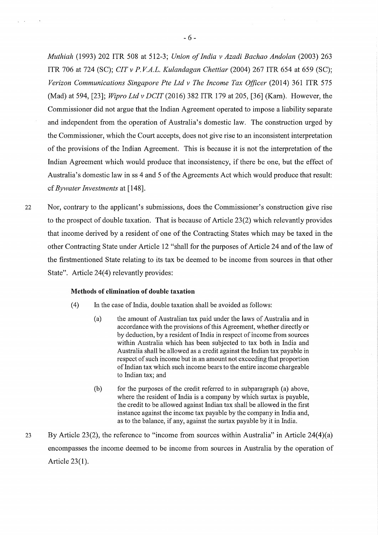*Muthiah* (1993) 202 ITR 508 at 512-3; *Union of India v Azadi Bachao Andolan* (2003) 263 ITR 706 at 724 (SC); *CIT v P.V.A.L. Kulandagan Chettiar* (2004) 267 ITR 654 at 659 (SC); *Verizon Communications Singapore Pte Ltd v The Income Tax Officer* (2014) 361 ITR 575 (Mad) at 594, [23]; *Wipro Ltd v DCIT* (2016) 382 ITR 179 at 205, [36] (Kam). However, the Commissioner did not argue that the Indian Agreement operated to impose a liability separate and independent from the operation of Australia's domestic law. The construction urged by the Commissioner, which the Court accepts, does not give rise to an inconsistent interpretation of the provisions of the Indian Agreement. This is because it is not the interpretation of the Indian Agreement which would produce that inconsistency, if there be one, but the effect of Australia's domestic law in ss 4 and 5 of the Agreements Act which would produce that result: cf *Bywater Investments* at [148] .

22 Nor, contrary to the applicant's submissions, does the Commissioner's construction give rise to the prospect of double taxation. That is because of Article  $23(2)$  which relevantly provides that income derived by a resident of one of the Contracting States which may be taxed in the other Contracting State under Article 12 "shall for the purposes of Article 24 and of the law of the firstmentioned State relating to its tax be deemed to be income from sources in that other State". Article 24(4) relevantly provides:

#### Methods of elimination of double taxation

- $(4)$  In the case of India, double taxation shall be avoided as follows:
	- (a) the amount of Australian tax paid under the laws of Australia and in accordance with the provisions of this Agreement, whether directly or by deduction, by a resident of India in respect of income from source within Australia which has been subjected to tax both in India and Australia shall be allowed as a credit against the Indian tax payable in respect of such income but in an amount not exceeding that proportion of Indian tax which such income bears to the entire income chargeable to Indian tax; and
	- $(b)$  for the purposes of the credit referred to in subparagraph (a) above, where the resident of India is a company by which surtax is payable, the credit to be allowed against Indian tax shall be allowed in the first instance against the income tax payable by the company in India and, as to the balance, if any, against the surtax payable by it in India.
- 23 By Article 23(2), the reference to "income from sources within Australia" in Article 24(4)(a) encompasses the income deemed to be income from sources in Australia by the operation of Article 23(1).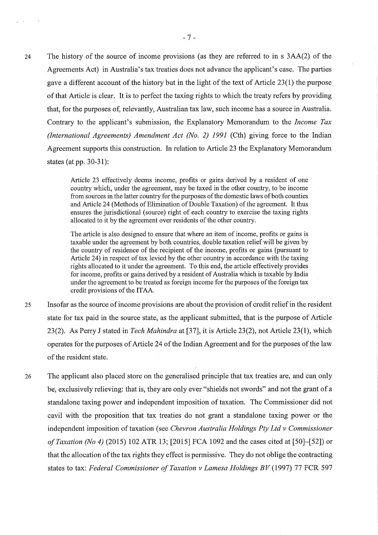24 The history of the source of income provisions (as they are referred to in s 3AA(2) of the Agreements Act) in Australia's tax treaties does not advance the applicant's case. The parties gave a different account of the history but in the light of the text of Article 23(1) the purpos of that Article is clear. It is to perfect the taxing rights to which the treaty refers by providing that, for the purposes of, relevantly, Australian tax law, such income has a source in Australia. Contrary to the applicant's submission, the Explanatory Memorandum to the *Income Tax (International Agreements) Amendment Act (No. 2) 1991* (Cth) giving force to the Indian Agreement supports this construction. In relation to Article 23 the Explanatory Memorandum states (at pp. 30−31):

> Article 23 effectively deems income, profits or gains derived by a resident of one country which, under the agreement, may be taxed in the other country, to be income from sources in the latter country for the purposes of the domestic laws of both counties and Article 24 (Methods of Elimination of Double Taxation) of the agreement. It thus ensures the jurisdictional (source) right of each country to exercise the taxing rights allocated to it by the agreement over residents of the other country.

> The article is also designed to ensure that where an item of income, profits or gains is taxable under the agreement by both countries, double taxation relief will be given by the country of residence of the recipient of the income, profits or gains (pursuant to Article 24) in respect of tax levied by the other country in accordance with the taxing rights allocated to it under the agreement. To this end, the article effectively provides for income, profits or gains derived by a resident of Australia which is taxable by Indi under the agreement to be treated as foreign income for the purposes of the foreign tax credit provisions of the ITAA.

- 25 Insofar as the source of income provisions are about the provision of credit relief in the resident state for tax paid in the source state, as the applicant submitted, that is the purpose of Article 23(2). As Perry J stated in *Tech Mahindra* at [37], it is Article 23(2), not Article 23(1), which operates for the purposes of Article 24 of the Indian Agreement and for the purposes of the law of the resident state.
- <sup>26</sup> The applicant also placed store on the generalised principle that tax treaties are, and can only be, exclusively relieving: that is, they are only ever "shields not swords" and not the grant of a standalone taxing power and independent imposition of taxation. The Commissioner did not cavil with the proposition that tax treaties do not grant a standalone taxing power or the independent imposition of taxation (see *Chevron Australia Holdings Pty Ltd v Commissioner o f Taxation (No 4)* (2015) 102 ATR 13; [2015] FCA 1092 and the cases cited at [50]—[52]) or that the allocation of the tax rights they effect is permissive. They do not oblige the contracting states to tax: *Federal Commissioner of Taxation v Lamesa Holdings BV* (1997) 77 FCR 597